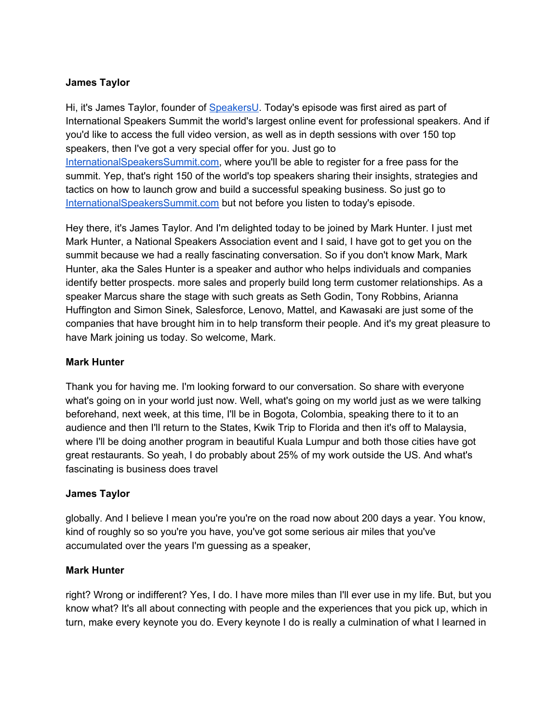## **James Taylor**

Hi, it's James Taylor, founder of [SpeakersU.](https://speakersu.com/) Today's episode was first aired as part of International Speakers Summit the world's largest online event for professional speakers. And if you'd like to access the full video version, as well as in depth sessions with over 150 top speakers, then I've got a very special offer for you. Just go to [InternationalSpeakersSummit.com](http://internationalspeakerssummit.com/), where you'll be able to register for a free pass for the summit. Yep, that's right 150 of the world's top speakers sharing their insights, strategies and tactics on how to launch grow and build a successful speaking business. So just go t[o](http://internationalspeakerssummit.com/) [InternationalSpeakersSummit.com](http://internationalspeakerssummit.com/) but not before you listen to today's episode.

Hey there, it's James Taylor. And I'm delighted today to be joined by Mark Hunter. I just met Mark Hunter, a National Speakers Association event and I said, I have got to get you on the summit because we had a really fascinating conversation. So if you don't know Mark, Mark Hunter, aka the Sales Hunter is a speaker and author who helps individuals and companies identify better prospects. more sales and properly build long term customer relationships. As a speaker Marcus share the stage with such greats as Seth Godin, Tony Robbins, Arianna Huffington and Simon Sinek, Salesforce, Lenovo, Mattel, and Kawasaki are just some of the companies that have brought him in to help transform their people. And it's my great pleasure to have Mark joining us today. So welcome, Mark.

#### **Mark Hunter**

Thank you for having me. I'm looking forward to our conversation. So share with everyone what's going on in your world just now. Well, what's going on my world just as we were talking beforehand, next week, at this time, I'll be in Bogota, Colombia, speaking there to it to an audience and then I'll return to the States, Kwik Trip to Florida and then it's off to Malaysia, where I'll be doing another program in beautiful Kuala Lumpur and both those cities have got great restaurants. So yeah, I do probably about 25% of my work outside the US. And what's fascinating is business does travel

#### **James Taylor**

globally. And I believe I mean you're you're on the road now about 200 days a year. You know, kind of roughly so so you're you have, you've got some serious air miles that you've accumulated over the years I'm guessing as a speaker,

#### **Mark Hunter**

right? Wrong or indifferent? Yes, I do. I have more miles than I'll ever use in my life. But, but you know what? It's all about connecting with people and the experiences that you pick up, which in turn, make every keynote you do. Every keynote I do is really a culmination of what I learned in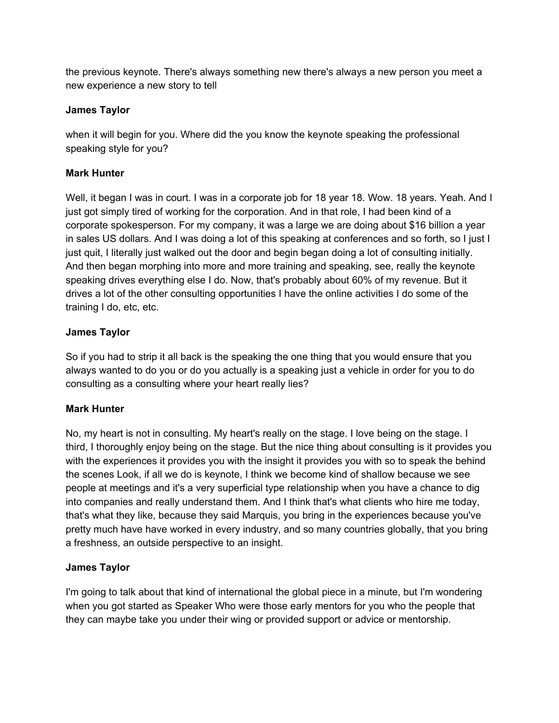the previous keynote. There's always something new there's always a new person you meet a new experience a new story to tell

## **James Taylor**

when it will begin for you. Where did the you know the keynote speaking the professional speaking style for you?

# **Mark Hunter**

Well, it began I was in court. I was in a corporate job for 18 year 18. Wow. 18 years. Yeah. And I just got simply tired of working for the corporation. And in that role, I had been kind of a corporate spokesperson. For my company, it was a large we are doing about \$16 billion a year in sales US dollars. And I was doing a lot of this speaking at conferences and so forth, so I just I just quit, I literally just walked out the door and begin began doing a lot of consulting initially. And then began morphing into more and more training and speaking, see, really the keynote speaking drives everything else I do. Now, that's probably about 60% of my revenue. But it drives a lot of the other consulting opportunities I have the online activities I do some of the training I do, etc, etc.

# **James Taylor**

So if you had to strip it all back is the speaking the one thing that you would ensure that you always wanted to do you or do you actually is a speaking just a vehicle in order for you to do consulting as a consulting where your heart really lies?

## **Mark Hunter**

No, my heart is not in consulting. My heart's really on the stage. I love being on the stage. I third, I thoroughly enjoy being on the stage. But the nice thing about consulting is it provides you with the experiences it provides you with the insight it provides you with so to speak the behind the scenes Look, if all we do is keynote, I think we become kind of shallow because we see people at meetings and it's a very superficial type relationship when you have a chance to dig into companies and really understand them. And I think that's what clients who hire me today, that's what they like, because they said Marquis, you bring in the experiences because you've pretty much have have worked in every industry, and so many countries globally, that you bring a freshness, an outside perspective to an insight.

# **James Taylor**

I'm going to talk about that kind of international the global piece in a minute, but I'm wondering when you got started as Speaker Who were those early mentors for you who the people that they can maybe take you under their wing or provided support or advice or mentorship.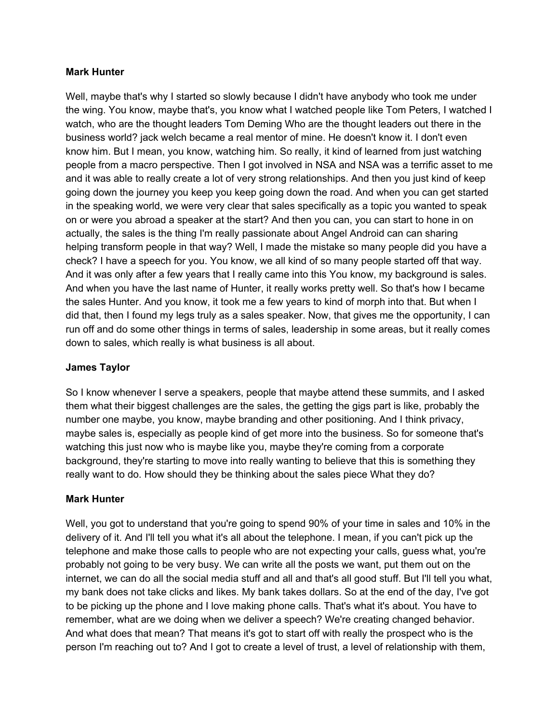### **Mark Hunter**

Well, maybe that's why I started so slowly because I didn't have anybody who took me under the wing. You know, maybe that's, you know what I watched people like Tom Peters, I watched I watch, who are the thought leaders Tom Deming Who are the thought leaders out there in the business world? jack welch became a real mentor of mine. He doesn't know it. I don't even know him. But I mean, you know, watching him. So really, it kind of learned from just watching people from a macro perspective. Then I got involved in NSA and NSA was a terrific asset to me and it was able to really create a lot of very strong relationships. And then you just kind of keep going down the journey you keep you keep going down the road. And when you can get started in the speaking world, we were very clear that sales specifically as a topic you wanted to speak on or were you abroad a speaker at the start? And then you can, you can start to hone in on actually, the sales is the thing I'm really passionate about Angel Android can can sharing helping transform people in that way? Well, I made the mistake so many people did you have a check? I have a speech for you. You know, we all kind of so many people started off that way. And it was only after a few years that I really came into this You know, my background is sales. And when you have the last name of Hunter, it really works pretty well. So that's how I became the sales Hunter. And you know, it took me a few years to kind of morph into that. But when I did that, then I found my legs truly as a sales speaker. Now, that gives me the opportunity, I can run off and do some other things in terms of sales, leadership in some areas, but it really comes down to sales, which really is what business is all about.

## **James Taylor**

So I know whenever I serve a speakers, people that maybe attend these summits, and I asked them what their biggest challenges are the sales, the getting the gigs part is like, probably the number one maybe, you know, maybe branding and other positioning. And I think privacy, maybe sales is, especially as people kind of get more into the business. So for someone that's watching this just now who is maybe like you, maybe they're coming from a corporate background, they're starting to move into really wanting to believe that this is something they really want to do. How should they be thinking about the sales piece What they do?

## **Mark Hunter**

Well, you got to understand that you're going to spend 90% of your time in sales and 10% in the delivery of it. And I'll tell you what it's all about the telephone. I mean, if you can't pick up the telephone and make those calls to people who are not expecting your calls, guess what, you're probably not going to be very busy. We can write all the posts we want, put them out on the internet, we can do all the social media stuff and all and that's all good stuff. But I'll tell you what, my bank does not take clicks and likes. My bank takes dollars. So at the end of the day, I've got to be picking up the phone and I love making phone calls. That's what it's about. You have to remember, what are we doing when we deliver a speech? We're creating changed behavior. And what does that mean? That means it's got to start off with really the prospect who is the person I'm reaching out to? And I got to create a level of trust, a level of relationship with them,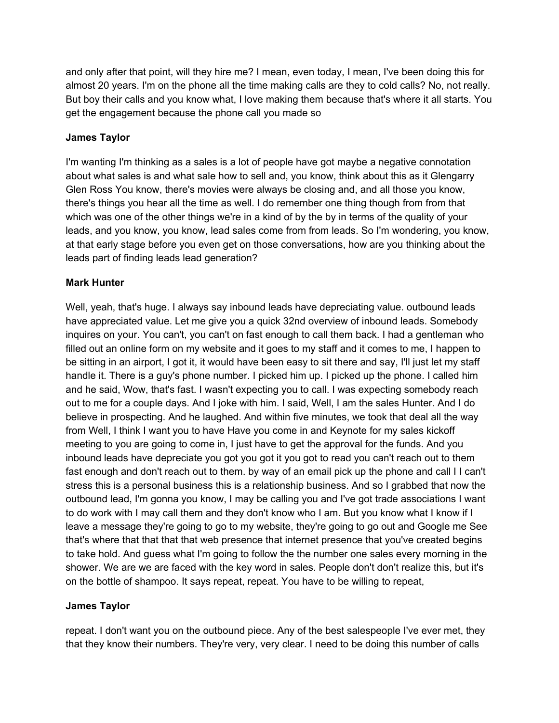and only after that point, will they hire me? I mean, even today, I mean, I've been doing this for almost 20 years. I'm on the phone all the time making calls are they to cold calls? No, not really. But boy their calls and you know what, I love making them because that's where it all starts. You get the engagement because the phone call you made so

## **James Taylor**

I'm wanting I'm thinking as a sales is a lot of people have got maybe a negative connotation about what sales is and what sale how to sell and, you know, think about this as it Glengarry Glen Ross You know, there's movies were always be closing and, and all those you know, there's things you hear all the time as well. I do remember one thing though from from that which was one of the other things we're in a kind of by the by in terms of the quality of your leads, and you know, you know, lead sales come from from leads. So I'm wondering, you know, at that early stage before you even get on those conversations, how are you thinking about the leads part of finding leads lead generation?

### **Mark Hunter**

Well, yeah, that's huge. I always say inbound leads have depreciating value. outbound leads have appreciated value. Let me give you a quick 32nd overview of inbound leads. Somebody inquires on your. You can't, you can't on fast enough to call them back. I had a gentleman who filled out an online form on my website and it goes to my staff and it comes to me, I happen to be sitting in an airport, I got it, it would have been easy to sit there and say, I'll just let my staff handle it. There is a guy's phone number. I picked him up. I picked up the phone. I called him and he said, Wow, that's fast. I wasn't expecting you to call. I was expecting somebody reach out to me for a couple days. And I joke with him. I said, Well, I am the sales Hunter. And I do believe in prospecting. And he laughed. And within five minutes, we took that deal all the way from Well, I think I want you to have Have you come in and Keynote for my sales kickoff meeting to you are going to come in, I just have to get the approval for the funds. And you inbound leads have depreciate you got you got it you got to read you can't reach out to them fast enough and don't reach out to them. by way of an email pick up the phone and call I I can't stress this is a personal business this is a relationship business. And so I grabbed that now the outbound lead, I'm gonna you know, I may be calling you and I've got trade associations I want to do work with I may call them and they don't know who I am. But you know what I know if I leave a message they're going to go to my website, they're going to go out and Google me See that's where that that that that web presence that internet presence that you've created begins to take hold. And guess what I'm going to follow the the number one sales every morning in the shower. We are we are faced with the key word in sales. People don't don't realize this, but it's on the bottle of shampoo. It says repeat, repeat. You have to be willing to repeat,

#### **James Taylor**

repeat. I don't want you on the outbound piece. Any of the best salespeople I've ever met, they that they know their numbers. They're very, very clear. I need to be doing this number of calls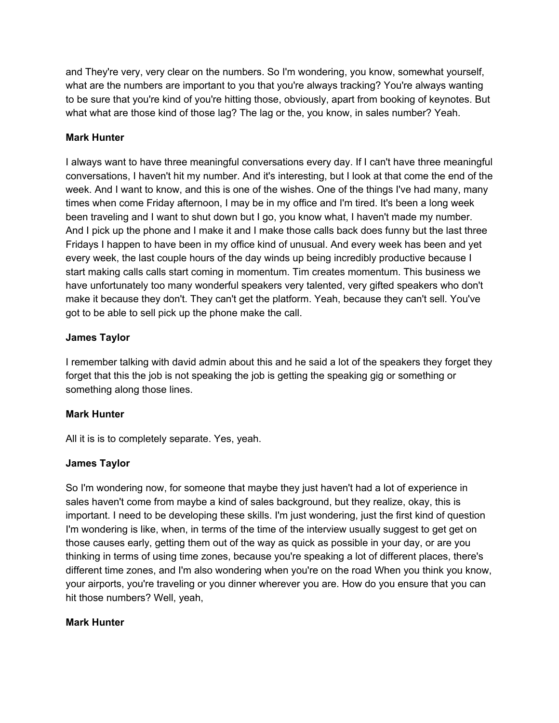and They're very, very clear on the numbers. So I'm wondering, you know, somewhat yourself, what are the numbers are important to you that you're always tracking? You're always wanting to be sure that you're kind of you're hitting those, obviously, apart from booking of keynotes. But what what are those kind of those lag? The lag or the, you know, in sales number? Yeah.

### **Mark Hunter**

I always want to have three meaningful conversations every day. If I can't have three meaningful conversations, I haven't hit my number. And it's interesting, but I look at that come the end of the week. And I want to know, and this is one of the wishes. One of the things I've had many, many times when come Friday afternoon, I may be in my office and I'm tired. It's been a long week been traveling and I want to shut down but I go, you know what, I haven't made my number. And I pick up the phone and I make it and I make those calls back does funny but the last three Fridays I happen to have been in my office kind of unusual. And every week has been and yet every week, the last couple hours of the day winds up being incredibly productive because I start making calls calls start coming in momentum. Tim creates momentum. This business we have unfortunately too many wonderful speakers very talented, very gifted speakers who don't make it because they don't. They can't get the platform. Yeah, because they can't sell. You've got to be able to sell pick up the phone make the call.

### **James Taylor**

I remember talking with david admin about this and he said a lot of the speakers they forget they forget that this the job is not speaking the job is getting the speaking gig or something or something along those lines.

## **Mark Hunter**

All it is is to completely separate. Yes, yeah.

#### **James Taylor**

So I'm wondering now, for someone that maybe they just haven't had a lot of experience in sales haven't come from maybe a kind of sales background, but they realize, okay, this is important. I need to be developing these skills. I'm just wondering, just the first kind of question I'm wondering is like, when, in terms of the time of the interview usually suggest to get get on those causes early, getting them out of the way as quick as possible in your day, or are you thinking in terms of using time zones, because you're speaking a lot of different places, there's different time zones, and I'm also wondering when you're on the road When you think you know, your airports, you're traveling or you dinner wherever you are. How do you ensure that you can hit those numbers? Well, yeah,

#### **Mark Hunter**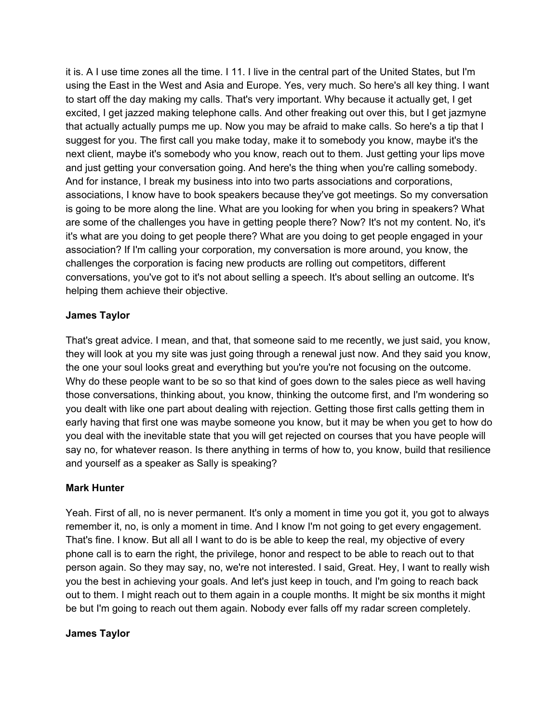it is. A I use time zones all the time. I 11. I live in the central part of the United States, but I'm using the East in the West and Asia and Europe. Yes, very much. So here's all key thing. I want to start off the day making my calls. That's very important. Why because it actually get, I get excited, I get jazzed making telephone calls. And other freaking out over this, but I get jazmyne that actually actually pumps me up. Now you may be afraid to make calls. So here's a tip that I suggest for you. The first call you make today, make it to somebody you know, maybe it's the next client, maybe it's somebody who you know, reach out to them. Just getting your lips move and just getting your conversation going. And here's the thing when you're calling somebody. And for instance, I break my business into into two parts associations and corporations, associations, I know have to book speakers because they've got meetings. So my conversation is going to be more along the line. What are you looking for when you bring in speakers? What are some of the challenges you have in getting people there? Now? It's not my content. No, it's it's what are you doing to get people there? What are you doing to get people engaged in your association? If I'm calling your corporation, my conversation is more around, you know, the challenges the corporation is facing new products are rolling out competitors, different conversations, you've got to it's not about selling a speech. It's about selling an outcome. It's helping them achieve their objective.

### **James Taylor**

That's great advice. I mean, and that, that someone said to me recently, we just said, you know, they will look at you my site was just going through a renewal just now. And they said you know, the one your soul looks great and everything but you're you're not focusing on the outcome. Why do these people want to be so so that kind of goes down to the sales piece as well having those conversations, thinking about, you know, thinking the outcome first, and I'm wondering so you dealt with like one part about dealing with rejection. Getting those first calls getting them in early having that first one was maybe someone you know, but it may be when you get to how do you deal with the inevitable state that you will get rejected on courses that you have people will say no, for whatever reason. Is there anything in terms of how to, you know, build that resilience and yourself as a speaker as Sally is speaking?

#### **Mark Hunter**

Yeah. First of all, no is never permanent. It's only a moment in time you got it, you got to always remember it, no, is only a moment in time. And I know I'm not going to get every engagement. That's fine. I know. But all all I want to do is be able to keep the real, my objective of every phone call is to earn the right, the privilege, honor and respect to be able to reach out to that person again. So they may say, no, we're not interested. I said, Great. Hey, I want to really wish you the best in achieving your goals. And let's just keep in touch, and I'm going to reach back out to them. I might reach out to them again in a couple months. It might be six months it might be but I'm going to reach out them again. Nobody ever falls off my radar screen completely.

#### **James Taylor**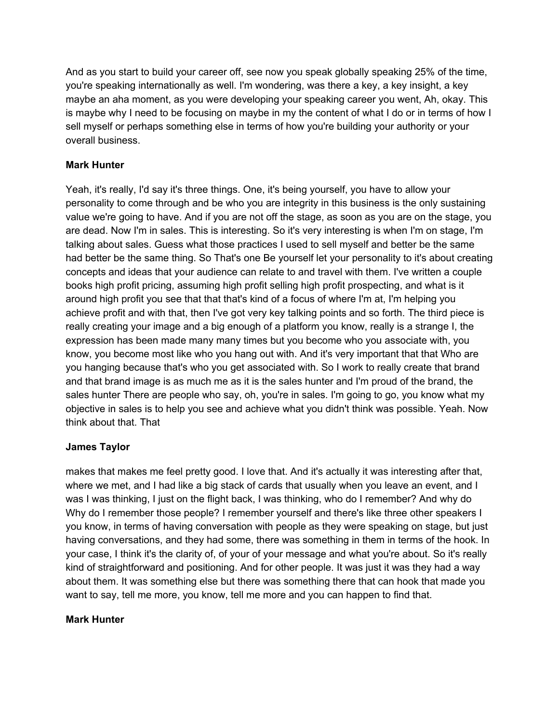And as you start to build your career off, see now you speak globally speaking 25% of the time, you're speaking internationally as well. I'm wondering, was there a key, a key insight, a key maybe an aha moment, as you were developing your speaking career you went, Ah, okay. This is maybe why I need to be focusing on maybe in my the content of what I do or in terms of how I sell myself or perhaps something else in terms of how you're building your authority or your overall business.

## **Mark Hunter**

Yeah, it's really, I'd say it's three things. One, it's being yourself, you have to allow your personality to come through and be who you are integrity in this business is the only sustaining value we're going to have. And if you are not off the stage, as soon as you are on the stage, you are dead. Now I'm in sales. This is interesting. So it's very interesting is when I'm on stage, I'm talking about sales. Guess what those practices I used to sell myself and better be the same had better be the same thing. So That's one Be yourself let your personality to it's about creating concepts and ideas that your audience can relate to and travel with them. I've written a couple books high profit pricing, assuming high profit selling high profit prospecting, and what is it around high profit you see that that that's kind of a focus of where I'm at, I'm helping you achieve profit and with that, then I've got very key talking points and so forth. The third piece is really creating your image and a big enough of a platform you know, really is a strange I, the expression has been made many many times but you become who you associate with, you know, you become most like who you hang out with. And it's very important that that Who are you hanging because that's who you get associated with. So I work to really create that brand and that brand image is as much me as it is the sales hunter and I'm proud of the brand, the sales hunter There are people who say, oh, you're in sales. I'm going to go, you know what my objective in sales is to help you see and achieve what you didn't think was possible. Yeah. Now think about that. That

## **James Taylor**

makes that makes me feel pretty good. I love that. And it's actually it was interesting after that, where we met, and I had like a big stack of cards that usually when you leave an event, and I was I was thinking, I just on the flight back, I was thinking, who do I remember? And why do Why do I remember those people? I remember yourself and there's like three other speakers I you know, in terms of having conversation with people as they were speaking on stage, but just having conversations, and they had some, there was something in them in terms of the hook. In your case, I think it's the clarity of, of your of your message and what you're about. So it's really kind of straightforward and positioning. And for other people. It was just it was they had a way about them. It was something else but there was something there that can hook that made you want to say, tell me more, you know, tell me more and you can happen to find that.

## **Mark Hunter**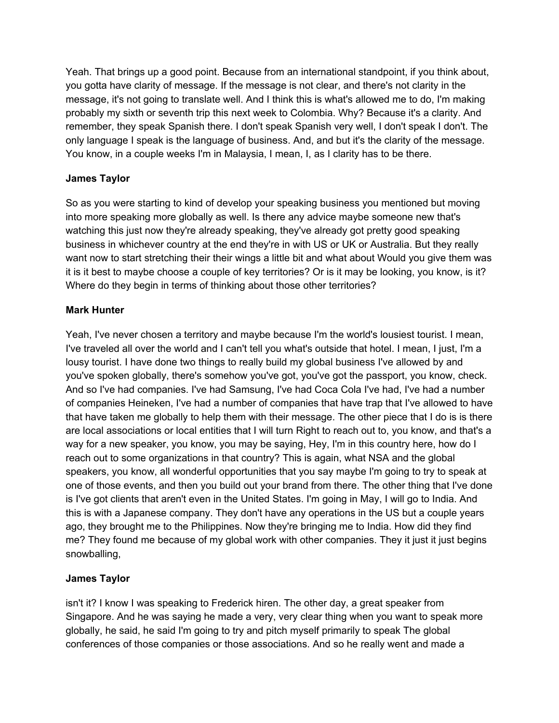Yeah. That brings up a good point. Because from an international standpoint, if you think about, you gotta have clarity of message. If the message is not clear, and there's not clarity in the message, it's not going to translate well. And I think this is what's allowed me to do, I'm making probably my sixth or seventh trip this next week to Colombia. Why? Because it's a clarity. And remember, they speak Spanish there. I don't speak Spanish very well, I don't speak I don't. The only language I speak is the language of business. And, and but it's the clarity of the message. You know, in a couple weeks I'm in Malaysia, I mean, I, as I clarity has to be there.

## **James Taylor**

So as you were starting to kind of develop your speaking business you mentioned but moving into more speaking more globally as well. Is there any advice maybe someone new that's watching this just now they're already speaking, they've already got pretty good speaking business in whichever country at the end they're in with US or UK or Australia. But they really want now to start stretching their their wings a little bit and what about Would you give them was it is it best to maybe choose a couple of key territories? Or is it may be looking, you know, is it? Where do they begin in terms of thinking about those other territories?

# **Mark Hunter**

Yeah, I've never chosen a territory and maybe because I'm the world's lousiest tourist. I mean, I've traveled all over the world and I can't tell you what's outside that hotel. I mean, I just, I'm a lousy tourist. I have done two things to really build my global business I've allowed by and you've spoken globally, there's somehow you've got, you've got the passport, you know, check. And so I've had companies. I've had Samsung, I've had Coca Cola I've had, I've had a number of companies Heineken, I've had a number of companies that have trap that I've allowed to have that have taken me globally to help them with their message. The other piece that I do is is there are local associations or local entities that I will turn Right to reach out to, you know, and that's a way for a new speaker, you know, you may be saying, Hey, I'm in this country here, how do I reach out to some organizations in that country? This is again, what NSA and the global speakers, you know, all wonderful opportunities that you say maybe I'm going to try to speak at one of those events, and then you build out your brand from there. The other thing that I've done is I've got clients that aren't even in the United States. I'm going in May, I will go to India. And this is with a Japanese company. They don't have any operations in the US but a couple years ago, they brought me to the Philippines. Now they're bringing me to India. How did they find me? They found me because of my global work with other companies. They it just it just begins snowballing,

## **James Taylor**

isn't it? I know I was speaking to Frederick hiren. The other day, a great speaker from Singapore. And he was saying he made a very, very clear thing when you want to speak more globally, he said, he said I'm going to try and pitch myself primarily to speak The global conferences of those companies or those associations. And so he really went and made a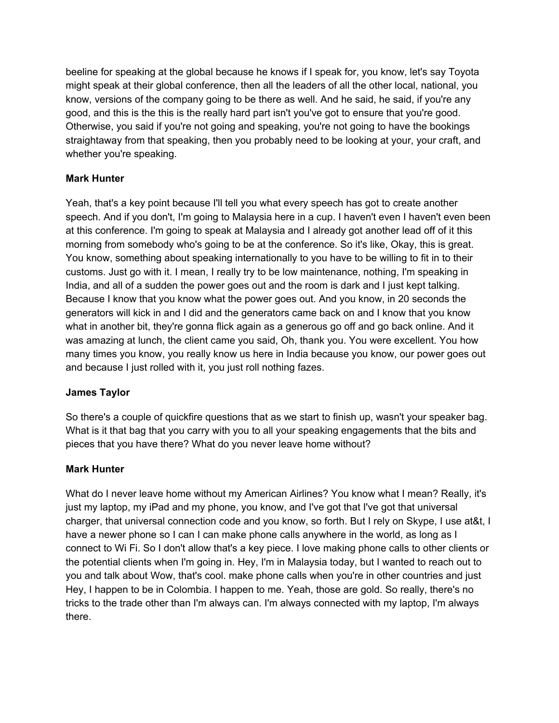beeline for speaking at the global because he knows if I speak for, you know, let's say Toyota might speak at their global conference, then all the leaders of all the other local, national, you know, versions of the company going to be there as well. And he said, he said, if you're any good, and this is the this is the really hard part isn't you've got to ensure that you're good. Otherwise, you said if you're not going and speaking, you're not going to have the bookings straightaway from that speaking, then you probably need to be looking at your, your craft, and whether you're speaking.

# **Mark Hunter**

Yeah, that's a key point because I'll tell you what every speech has got to create another speech. And if you don't, I'm going to Malaysia here in a cup. I haven't even I haven't even been at this conference. I'm going to speak at Malaysia and I already got another lead off of it this morning from somebody who's going to be at the conference. So it's like, Okay, this is great. You know, something about speaking internationally to you have to be willing to fit in to their customs. Just go with it. I mean, I really try to be low maintenance, nothing, I'm speaking in India, and all of a sudden the power goes out and the room is dark and I just kept talking. Because I know that you know what the power goes out. And you know, in 20 seconds the generators will kick in and I did and the generators came back on and I know that you know what in another bit, they're gonna flick again as a generous go off and go back online. And it was amazing at lunch, the client came you said, Oh, thank you. You were excellent. You how many times you know, you really know us here in India because you know, our power goes out and because I just rolled with it, you just roll nothing fazes.

## **James Taylor**

So there's a couple of quickfire questions that as we start to finish up, wasn't your speaker bag. What is it that bag that you carry with you to all your speaking engagements that the bits and pieces that you have there? What do you never leave home without?

## **Mark Hunter**

What do I never leave home without my American Airlines? You know what I mean? Really, it's just my laptop, my iPad and my phone, you know, and I've got that I've got that universal charger, that universal connection code and you know, so forth. But I rely on Skype, I use at&t, I have a newer phone so I can I can make phone calls anywhere in the world, as long as I connect to Wi Fi. So I don't allow that's a key piece. I love making phone calls to other clients or the potential clients when I'm going in. Hey, I'm in Malaysia today, but I wanted to reach out to you and talk about Wow, that's cool. make phone calls when you're in other countries and just Hey, I happen to be in Colombia. I happen to me. Yeah, those are gold. So really, there's no tricks to the trade other than I'm always can. I'm always connected with my laptop, I'm always there.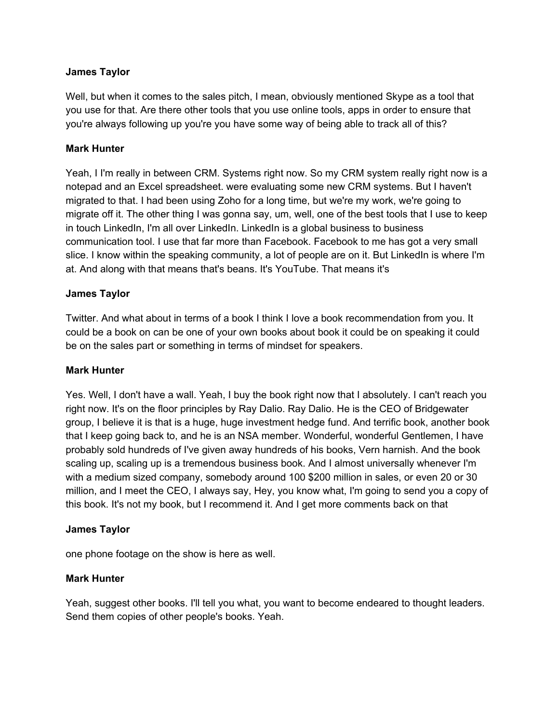### **James Taylor**

Well, but when it comes to the sales pitch, I mean, obviously mentioned Skype as a tool that you use for that. Are there other tools that you use online tools, apps in order to ensure that you're always following up you're you have some way of being able to track all of this?

### **Mark Hunter**

Yeah, I I'm really in between CRM. Systems right now. So my CRM system really right now is a notepad and an Excel spreadsheet. were evaluating some new CRM systems. But I haven't migrated to that. I had been using Zoho for a long time, but we're my work, we're going to migrate off it. The other thing I was gonna say, um, well, one of the best tools that I use to keep in touch LinkedIn, I'm all over LinkedIn. LinkedIn is a global business to business communication tool. I use that far more than Facebook. Facebook to me has got a very small slice. I know within the speaking community, a lot of people are on it. But LinkedIn is where I'm at. And along with that means that's beans. It's YouTube. That means it's

### **James Taylor**

Twitter. And what about in terms of a book I think I love a book recommendation from you. It could be a book on can be one of your own books about book it could be on speaking it could be on the sales part or something in terms of mindset for speakers.

#### **Mark Hunter**

Yes. Well, I don't have a wall. Yeah, I buy the book right now that I absolutely. I can't reach you right now. It's on the floor principles by Ray Dalio. Ray Dalio. He is the CEO of Bridgewater group, I believe it is that is a huge, huge investment hedge fund. And terrific book, another book that I keep going back to, and he is an NSA member. Wonderful, wonderful Gentlemen, I have probably sold hundreds of I've given away hundreds of his books, Vern harnish. And the book scaling up, scaling up is a tremendous business book. And I almost universally whenever I'm with a medium sized company, somebody around 100 \$200 million in sales, or even 20 or 30 million, and I meet the CEO, I always say, Hey, you know what, I'm going to send you a copy of this book. It's not my book, but I recommend it. And I get more comments back on that

#### **James Taylor**

one phone footage on the show is here as well.

#### **Mark Hunter**

Yeah, suggest other books. I'll tell you what, you want to become endeared to thought leaders. Send them copies of other people's books. Yeah.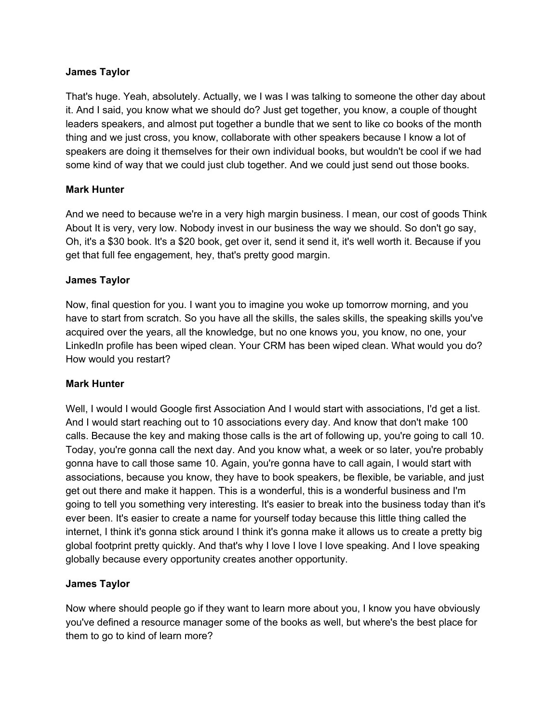### **James Taylor**

That's huge. Yeah, absolutely. Actually, we I was I was talking to someone the other day about it. And I said, you know what we should do? Just get together, you know, a couple of thought leaders speakers, and almost put together a bundle that we sent to like co books of the month thing and we just cross, you know, collaborate with other speakers because I know a lot of speakers are doing it themselves for their own individual books, but wouldn't be cool if we had some kind of way that we could just club together. And we could just send out those books.

### **Mark Hunter**

And we need to because we're in a very high margin business. I mean, our cost of goods Think About It is very, very low. Nobody invest in our business the way we should. So don't go say, Oh, it's a \$30 book. It's a \$20 book, get over it, send it send it, it's well worth it. Because if you get that full fee engagement, hey, that's pretty good margin.

### **James Taylor**

Now, final question for you. I want you to imagine you woke up tomorrow morning, and you have to start from scratch. So you have all the skills, the sales skills, the speaking skills you've acquired over the years, all the knowledge, but no one knows you, you know, no one, your LinkedIn profile has been wiped clean. Your CRM has been wiped clean. What would you do? How would you restart?

## **Mark Hunter**

Well, I would I would Google first Association And I would start with associations, I'd get a list. And I would start reaching out to 10 associations every day. And know that don't make 100 calls. Because the key and making those calls is the art of following up, you're going to call 10. Today, you're gonna call the next day. And you know what, a week or so later, you're probably gonna have to call those same 10. Again, you're gonna have to call again, I would start with associations, because you know, they have to book speakers, be flexible, be variable, and just get out there and make it happen. This is a wonderful, this is a wonderful business and I'm going to tell you something very interesting. It's easier to break into the business today than it's ever been. It's easier to create a name for yourself today because this little thing called the internet, I think it's gonna stick around I think it's gonna make it allows us to create a pretty big global footprint pretty quickly. And that's why I love I love I love speaking. And I love speaking globally because every opportunity creates another opportunity.

## **James Taylor**

Now where should people go if they want to learn more about you, I know you have obviously you've defined a resource manager some of the books as well, but where's the best place for them to go to kind of learn more?